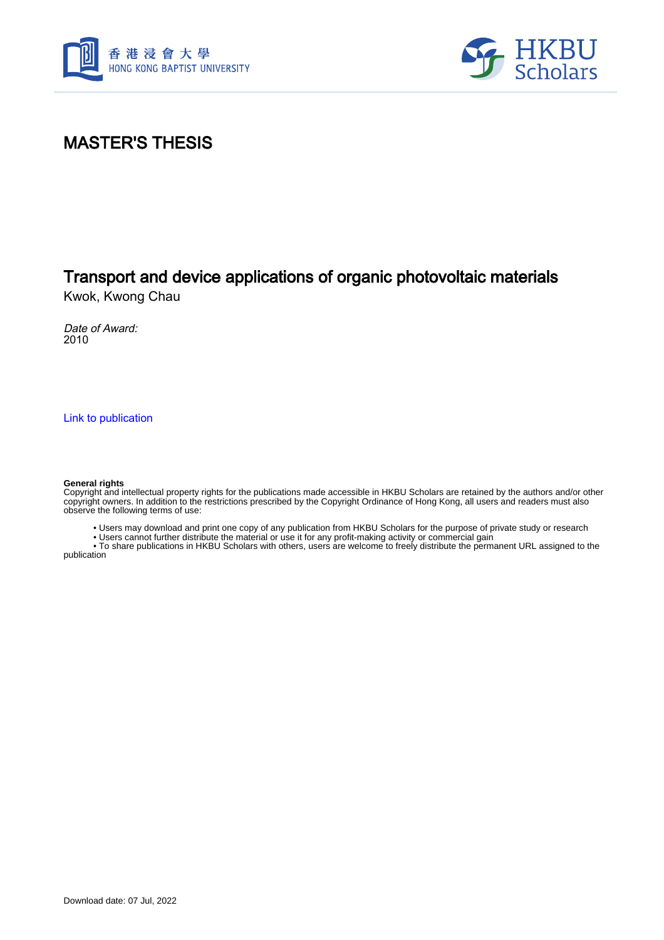



### MASTER'S THESIS

### Transport and device applications of organic photovoltaic materials

Kwok, Kwong Chau

Date of Award: 2010

[Link to publication](https://scholars.hkbu.edu.hk/en/studentTheses/27451be2-1a31-45de-8d5e-eb48d50fb4d0)

#### **General rights**

Copyright and intellectual property rights for the publications made accessible in HKBU Scholars are retained by the authors and/or other copyright owners. In addition to the restrictions prescribed by the Copyright Ordinance of Hong Kong, all users and readers must also observe the following terms of use:

• Users may download and print one copy of any publication from HKBU Scholars for the purpose of private study or research

• Users cannot further distribute the material or use it for any profit-making activity or commercial gain

 • To share publications in HKBU Scholars with others, users are welcome to freely distribute the permanent URL assigned to the publication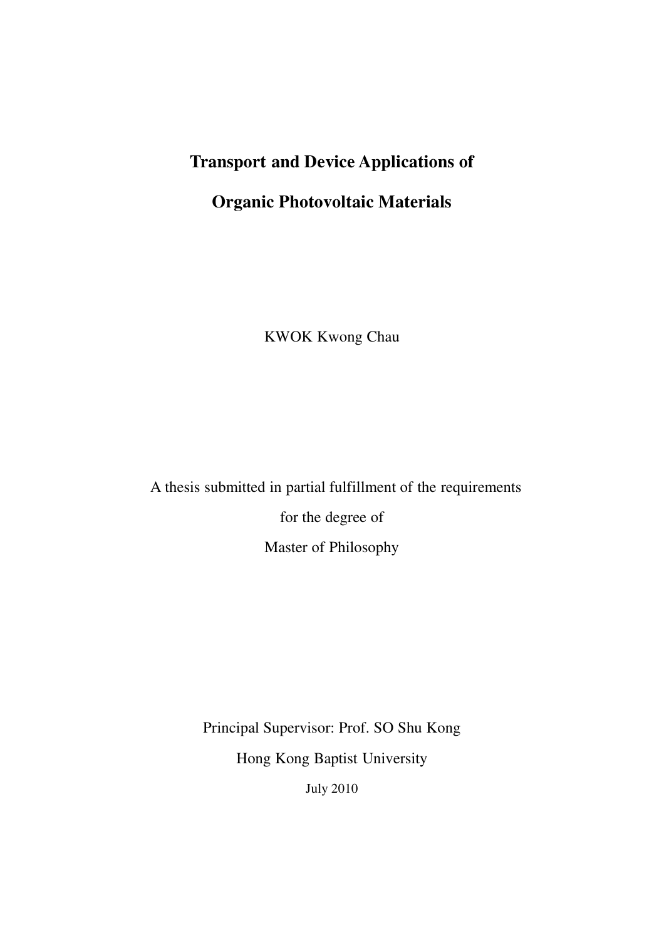## **Transport and Device Applications of**

# **Organic Photovoltaic Materials**

KWOK Kwong Chau

 A thesis submitted in partial fulfillment of the requirements for the degree of

Master of Philosophy

Principal Supervisor: Prof. SO Shu Kong Hong Kong Baptist University July 2010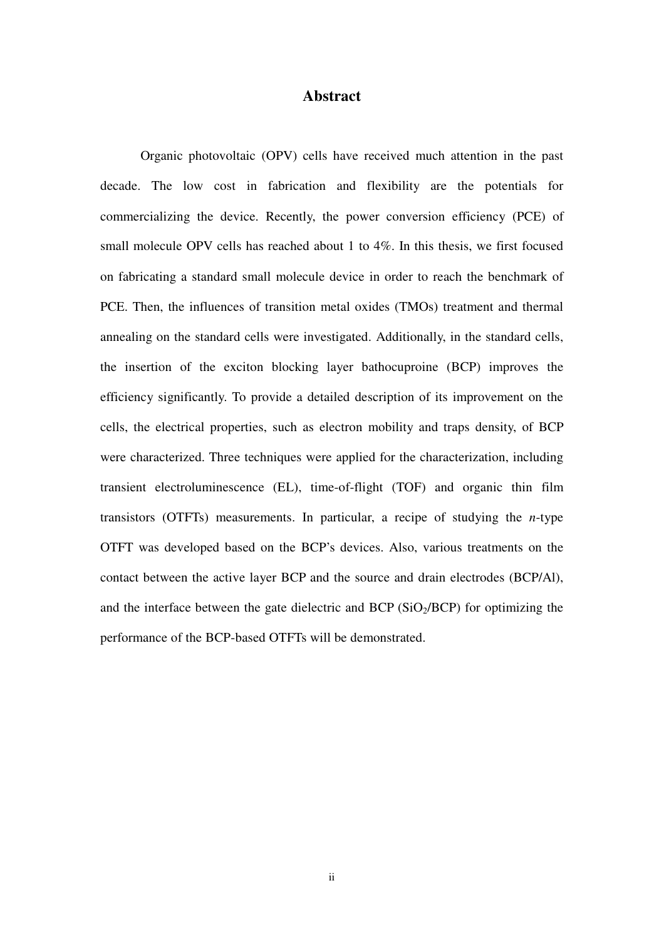#### **Abstract**

Organic photovoltaic (OPV) cells have received much attention in the past decade. The low cost in fabrication and flexibility are the potentials for commercializing the device. Recently, the power conversion efficiency (PCE) of small molecule OPV cells has reached about 1 to 4%. In this thesis, we first focused on fabricating a standard small molecule device in order to reach the benchmark of PCE. Then, the influences of transition metal oxides (TMOs) treatment and thermal annealing on the standard cells were investigated. Additionally, in the standard cells, the insertion of the exciton blocking layer bathocuproine (BCP) improves the efficiency significantly. To provide a detailed description of its improvement on the cells, the electrical properties, such as electron mobility and traps density, of BCP were characterized. Three techniques were applied for the characterization, including transient electroluminescence (EL), time-of-flight (TOF) and organic thin film transistors (OTFTs) measurements. In particular, a recipe of studying the *n*-type OTFT was developed based on the BCP's devices. Also, various treatments on the contact between the active layer BCP and the source and drain electrodes (BCP/Al), and the interface between the gate dielectric and BCP  $(SiO<sub>2</sub>/BCP)$  for optimizing the performance of the BCP-based OTFTs will be demonstrated.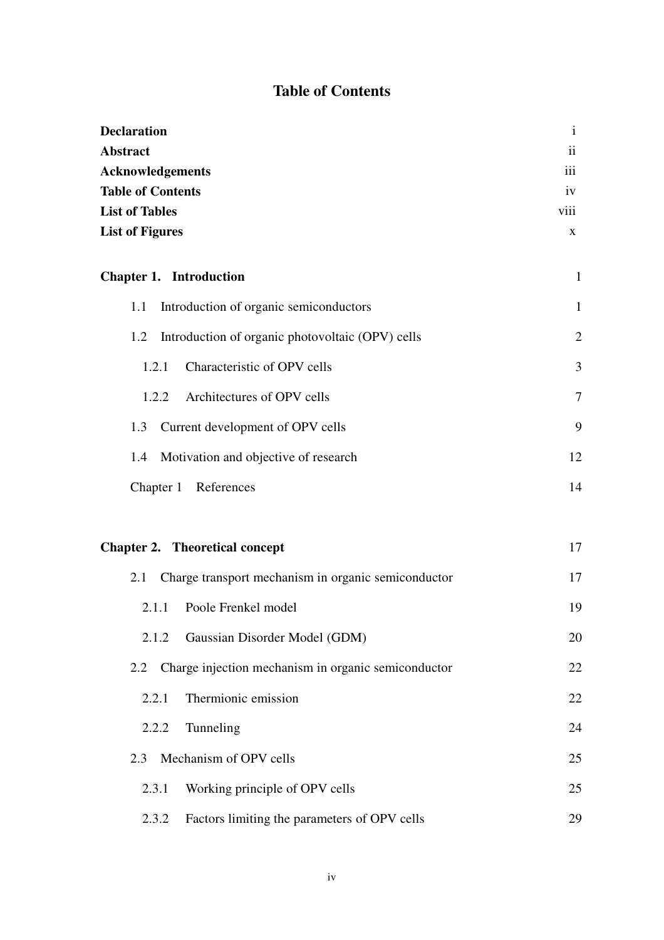#### **Table of Contents**

| <b>Declaration</b>                                         | $\mathbf{i}$    |
|------------------------------------------------------------|-----------------|
| <b>Abstract</b>                                            | $\ddot{\rm ii}$ |
| <b>Acknowledgements</b>                                    | iii             |
| <b>Table of Contents</b>                                   | iv              |
| <b>List of Tables</b>                                      | viii            |
| <b>List of Figures</b>                                     | X               |
| <b>Chapter 1. Introduction</b>                             | $\mathbf{1}$    |
| Introduction of organic semiconductors<br>1.1              | 1               |
| Introduction of organic photovoltaic (OPV) cells<br>1.2    | $\overline{2}$  |
| Characteristic of OPV cells<br>1.2.1                       | 3               |
| Architectures of OPV cells<br>1.2.2                        | 7               |
| Current development of OPV cells<br>1.3                    | 9               |
| Motivation and objective of research<br>1.4                | 12              |
| Chapter 1<br>References                                    | 14              |
| <b>Chapter 2. Theoretical concept</b>                      | 17              |
| Charge transport mechanism in organic semiconductor<br>2.1 | 17              |
| Poole Frenkel model<br>2.1.1                               | 19              |
| Gaussian Disorder Model (GDM)<br>2.1.2                     | 20              |
| Charge injection mechanism in organic semiconductor<br>2.2 | 22              |
| Thermionic emission<br>2.2.1                               | 22              |
| 2.2.2<br>Tunneling                                         | 24              |
| Mechanism of OPV cells<br>2.3                              | 25              |
| Working principle of OPV cells<br>2.3.1                    | 25              |
| 2.3.2<br>Factors limiting the parameters of OPV cells      | 29              |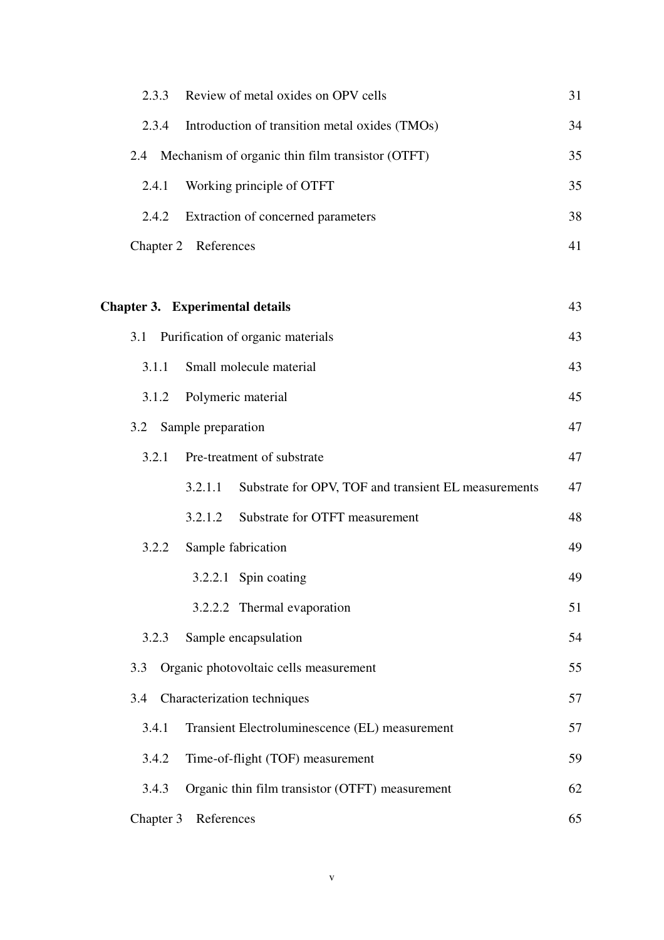| 2.3.3     | Review of metal oxides on OPV cells                             | 31 |
|-----------|-----------------------------------------------------------------|----|
| 2.3.4     | Introduction of transition metal oxides (TMOs)                  | 34 |
| 2.4       | Mechanism of organic thin film transistor (OTFT)                | 35 |
| 2.4.1     | Working principle of OTFT                                       | 35 |
| 2.4.2     | Extraction of concerned parameters                              | 38 |
|           | Chapter 2 References                                            | 41 |
|           |                                                                 |    |
|           | <b>Chapter 3. Experimental details</b>                          | 43 |
| 3.1       | Purification of organic materials                               | 43 |
| 3.1.1     | Small molecule material                                         | 43 |
| 3.1.2     | Polymeric material                                              | 45 |
| 3.2       | Sample preparation                                              | 47 |
| 3.2.1     | Pre-treatment of substrate                                      | 47 |
|           | Substrate for OPV, TOF and transient EL measurements<br>3.2.1.1 | 47 |
|           | Substrate for OTFT measurement<br>3.2.1.2                       | 48 |
| 3.2.2     | Sample fabrication                                              | 49 |
|           | 3.2.2.1 Spin coating                                            | 49 |
|           | 3.2.2.2 Thermal evaporation                                     | 51 |
| 3.2.3     | Sample encapsulation                                            | 54 |
| 3.3       | Organic photovoltaic cells measurement                          | 55 |
| 3.4       | Characterization techniques                                     | 57 |
| 3.4.1     | Transient Electroluminescence (EL) measurement                  | 57 |
| 3.4.2     | Time-of-flight (TOF) measurement                                | 59 |
| 3.4.3     | Organic thin film transistor (OTFT) measurement                 | 62 |
| Chapter 3 | References                                                      | 65 |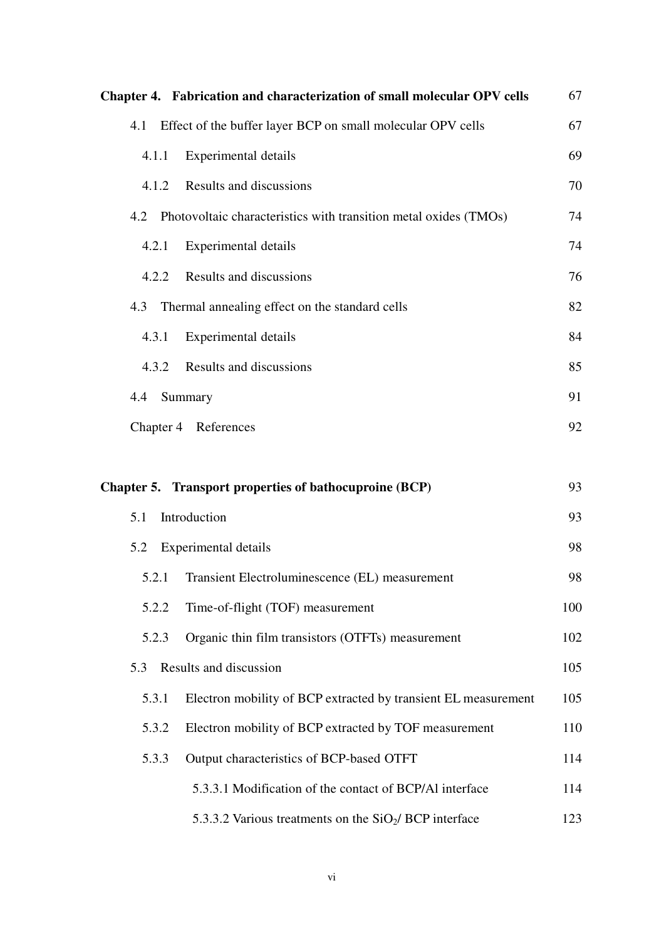|       | Chapter 4. Fabrication and characterization of small molecular OPV cells | 67  |
|-------|--------------------------------------------------------------------------|-----|
| 4.1   | Effect of the buffer layer BCP on small molecular OPV cells              | 67  |
| 4.1.1 | <b>Experimental details</b>                                              | 69  |
| 4.1.2 | Results and discussions                                                  | 70  |
|       | 4.2 Photovoltaic characteristics with transition metal oxides (TMOs)     | 74  |
| 4.2.1 | Experimental details                                                     | 74  |
| 4.2.2 | Results and discussions                                                  | 76  |
| 4.3   | Thermal annealing effect on the standard cells                           | 82  |
| 4.3.1 | <b>Experimental details</b>                                              | 84  |
| 4.3.2 | Results and discussions                                                  | 85  |
| 4.4   | Summary                                                                  | 91  |
|       | Chapter 4 References                                                     | 92  |
|       |                                                                          |     |
|       | Chapter 5. Transport properties of bathocuproine (BCP)                   | 93  |
| 5.1   | Introduction                                                             | 93  |
| 5.2   | <b>Experimental details</b>                                              | 98  |
| 5.2.1 | Transient Electroluminescence (EL) measurement                           | 98  |
| 5.2.2 | Time-of-flight (TOF) measurement                                         | 100 |
| 5.2.3 | Organic thin film transistors (OTFTs) measurement                        | 102 |
| 5.3   | Results and discussion                                                   | 105 |
| 5.3.1 | Electron mobility of BCP extracted by transient EL measurement           | 105 |
| 5.3.2 | Electron mobility of BCP extracted by TOF measurement                    | 110 |
| 5.3.3 | Output characteristics of BCP-based OTFT                                 | 114 |
|       | 5.3.3.1 Modification of the contact of BCP/Al interface                  | 114 |
|       | 5.3.3.2 Various treatments on the $SiO2/$ BCP interface                  | 123 |